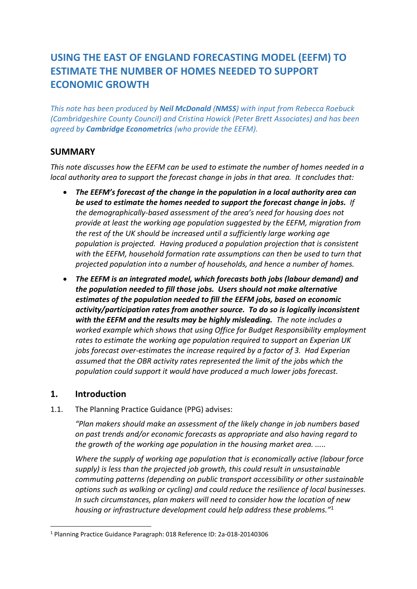# **USING THE EAST OF ENGLAND FORECASTING MODEL (EEFM) TO ESTIMATE THE NUMBER OF HOMES NEEDED TO SUPPORT ECONOMIC GROWTH**

*This note has been produced by Neil McDonald (NMSS) with input from Rebecca Roebuck (Cambridgeshire County Council) and Cristina Howick (Peter Brett Associates) and has been agreed by Cambridge Econometrics (who provide the EEFM).*

# **SUMMARY**

*This note discusses how the EEFM can be used to estimate the number of homes needed in a local authority area to support the forecast change in jobs in that area. It concludes that:*

- *The EEFM's forecast of the change in the population in a local authority area can be used to estimate the homes needed to support the forecast change in jobs. If the demographically-based assessment of the area's need for housing does not provide at least the working age population suggested by the EEFM, migration from the rest of the UK should be increased until a sufficiently large working age population is projected. Having produced a population projection that is consistent with the EEFM, household formation rate assumptions can then be used to turn that projected population into a number of households, and hence a number of homes.*
- *The EEFM is an integrated model, which forecasts both jobs (labour demand) and the population needed to fill those jobs. Users should not make alternative estimates of the population needed to fill the EEFM jobs, based on economic activity/participation rates from another source. To do so is logically inconsistent with the EEFM and the results may be highly misleading. The note includes a worked example which shows that using Office for Budget Responsibility employment rates to estimate the working age population required to support an Experian UK jobs forecast over-estimates the increase required by a factor of 3. Had Experian assumed that the OBR activity rates represented the limit of the jobs which the population could support it would have produced a much lower jobs forecast.*

## **1. Introduction**

**.** 

1.1. The Planning Practice Guidance (PPG) advises:

*"Plan makers should make an assessment of the likely change in job numbers based on past trends and/or economic forecasts as appropriate and also having regard to the growth of the working age population in the housing market area. .....*

*Where the supply of working age population that is economically active (labour force supply) is less than the projected job growth, this could result in unsustainable commuting patterns (depending on public transport accessibility or other sustainable options such as walking or cycling) and could reduce the resilience of local businesses. In such circumstances, plan makers will need to consider how the location of new housing or infrastructure development could help address these problems."*<sup>1</sup>

<sup>1</sup> Planning Practice Guidance Paragraph: 018 Reference ID: 2a-018-20140306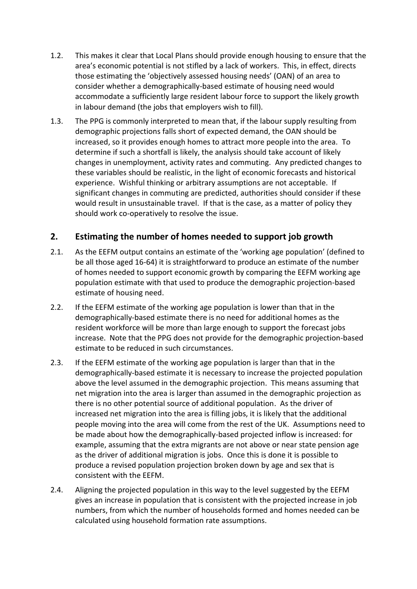- 1.2. This makes it clear that Local Plans should provide enough housing to ensure that the area's economic potential is not stifled by a lack of workers. This, in effect, directs those estimating the 'objectively assessed housing needs' (OAN) of an area to consider whether a demographically-based estimate of housing need would accommodate a sufficiently large resident labour force to support the likely growth in labour demand (the jobs that employers wish to fill).
- 1.3. The PPG is commonly interpreted to mean that, if the labour supply resulting from demographic projections falls short of expected demand, the OAN should be increased, so it provides enough homes to attract more people into the area. To determine if such a shortfall is likely, the analysis should take account of likely changes in unemployment, activity rates and commuting. Any predicted changes to these variables should be realistic, in the light of economic forecasts and historical experience. Wishful thinking or arbitrary assumptions are not acceptable. If significant changes in commuting are predicted, authorities should consider if these would result in unsustainable travel. If that is the case, as a matter of policy they should work co-operatively to resolve the issue.

# **2. Estimating the number of homes needed to support job growth**

- 2.1. As the EEFM output contains an estimate of the 'working age population' (defined to be all those aged 16-64) it is straightforward to produce an estimate of the number of homes needed to support economic growth by comparing the EEFM working age population estimate with that used to produce the demographic projection-based estimate of housing need.
- 2.2. If the EEFM estimate of the working age population is lower than that in the demographically-based estimate there is no need for additional homes as the resident workforce will be more than large enough to support the forecast jobs increase. Note that the PPG does not provide for the demographic projection-based estimate to be reduced in such circumstances.
- 2.3. If the EEFM estimate of the working age population is larger than that in the demographically-based estimate it is necessary to increase the projected population above the level assumed in the demographic projection. This means assuming that net migration into the area is larger than assumed in the demographic projection as there is no other potential source of additional population. As the driver of increased net migration into the area is filling jobs, it is likely that the additional people moving into the area will come from the rest of the UK. Assumptions need to be made about how the demographically-based projected inflow is increased: for example, assuming that the extra migrants are not above or near state pension age as the driver of additional migration is jobs. Once this is done it is possible to produce a revised population projection broken down by age and sex that is consistent with the EEFM.
- 2.4. Aligning the projected population in this way to the level suggested by the EEFM gives an increase in population that is consistent with the projected increase in job numbers, from which the number of households formed and homes needed can be calculated using household formation rate assumptions.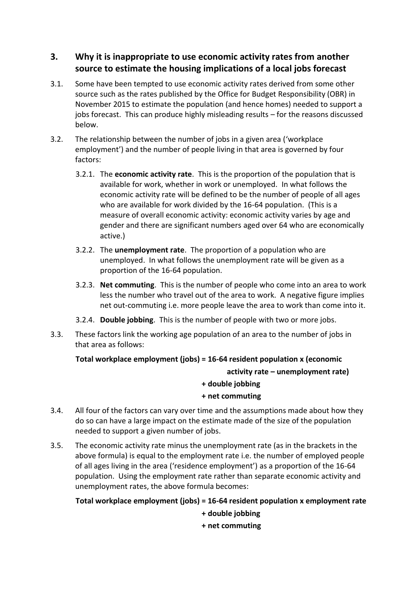# **3. Why it is inappropriate to use economic activity rates from another source to estimate the housing implications of a local jobs forecast**

- 3.1. Some have been tempted to use economic activity rates derived from some other source such as the rates published by the Office for Budget Responsibility (OBR) in November 2015 to estimate the population (and hence homes) needed to support a jobs forecast. This can produce highly misleading results – for the reasons discussed below.
- 3.2. The relationship between the number of jobs in a given area ('workplace employment') and the number of people living in that area is governed by four factors:
	- 3.2.1. The **economic activity rate**. This is the proportion of the population that is available for work, whether in work or unemployed. In what follows the economic activity rate will be defined to be the number of people of all ages who are available for work divided by the 16-64 population. (This is a measure of overall economic activity: economic activity varies by age and gender and there are significant numbers aged over 64 who are economically active.)
	- 3.2.2. The **unemployment rate**. The proportion of a population who are unemployed. In what follows the unemployment rate will be given as a proportion of the 16-64 population.
	- 3.2.3. **Net commuting**. This is the number of people who come into an area to work less the number who travel out of the area to work. A negative figure implies net out-commuting i.e. more people leave the area to work than come into it.
	- 3.2.4. **Double jobbing**. This is the number of people with two or more jobs.
- 3.3. These factors link the working age population of an area to the number of jobs in that area as follows:

# **Total workplace employment (jobs) = 16-64 resident population x (economic activity rate – unemployment rate)**

## **+ double jobbing**

#### **+ net commuting**

- 3.4. All four of the factors can vary over time and the assumptions made about how they do so can have a large impact on the estimate made of the size of the population needed to support a given number of jobs.
- 3.5. The economic activity rate minus the unemployment rate (as in the brackets in the above formula) is equal to the employment rate i.e. the number of employed people of all ages living in the area ('residence employment') as a proportion of the 16-64 population. Using the employment rate rather than separate economic activity and unemployment rates, the above formula becomes:

## **Total workplace employment (jobs) = 16-64 resident population x employment rate**

## **+ double jobbing**

**+ net commuting**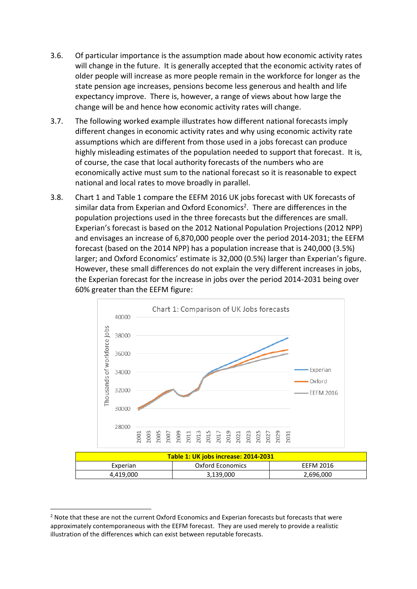- 3.6. Of particular importance is the assumption made about how economic activity rates will change in the future. It is generally accepted that the economic activity rates of older people will increase as more people remain in the workforce for longer as the state pension age increases, pensions become less generous and health and life expectancy improve. There is, however, a range of views about how large the change will be and hence how economic activity rates will change.
- 3.7. The following worked example illustrates how different national forecasts imply different changes in economic activity rates and why using economic activity rate assumptions which are different from those used in a jobs forecast can produce highly misleading estimates of the population needed to support that forecast. It is, of course, the case that local authority forecasts of the numbers who are economically active must sum to the national forecast so it is reasonable to expect national and local rates to move broadly in parallel.
- 3.8. Chart 1 and Table 1 compare the EEFM 2016 UK jobs forecast with UK forecasts of similar data from Experian and Oxford Economics<sup>2</sup>. There are differences in the population projections used in the three forecasts but the differences are small. Experian's forecast is based on the 2012 National Population Projections (2012 NPP) and envisages an increase of 6,870,000 people over the period 2014-2031; the EEFM forecast (based on the 2014 NPP) has a population increase that is 240,000 (3.5%) larger; and Oxford Economics' estimate is 32,000 (0.5%) larger than Experian's figure. However, these small differences do not explain the very different increases in jobs, the Experian forecast for the increase in jobs over the period 2014-2031 being over 60% greater than the EEFM figure:



| Table 1: UK jobs increase: 2014-2031 |           |                  |           |
|--------------------------------------|-----------|------------------|-----------|
|                                      | Experian  | Oxford Economics | EEFM 2016 |
|                                      | 4.419.000 | 3,139,000        | 2,696,000 |

**.** 

<sup>&</sup>lt;sup>2</sup> Note that these are not the current Oxford Economics and Experian forecasts but forecasts that were approximately contemporaneous with the EEFM forecast. They are used merely to provide a realistic illustration of the differences which can exist between reputable forecasts.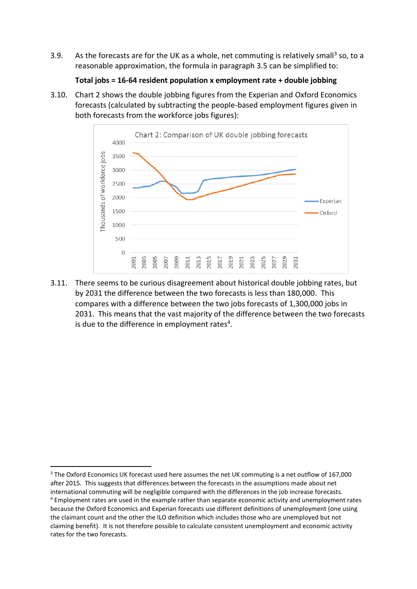3.9. As the forecasts are for the UK as a whole, net commuting is relatively small<sup>3</sup> so, to a reasonable approximation, the formula in paragraph 3.5 can be simplified to:

#### **Total jobs = 16-64 resident population x employment rate + double jobbing**

3.10. Chart 2 shows the double jobbing figures from the Experian and Oxford Economics forecasts (calculated by subtracting the people-based employment figures given in both forecasts from the workforce jobs figures):



3.11. There seems to be curious disagreement about historical double jobbing rates, but by 2031 the difference between the two forecasts is less than 180,000. This compares with a difference between the two jobs forecasts of 1,300,000 jobs in 2031. This means that the vast majority of the difference between the two forecasts is due to the difference in employment rates<sup>4</sup>.

**.** 

<sup>&</sup>lt;sup>3</sup> The Oxford Economics UK forecast used here assumes the net UK commuting is a net outflow of 167,000 after 2015. This suggests that differences between the forecasts in the assumptions made about net international commuting will be negligible compared with the differences in the job increase forecasts. <sup>4</sup> Employment rates are used in the example rather than separate economic activity and unemployment rates because the Oxford Economics and Experian forecasts use different definitions of unemployment (one using the claimant count and the other the ILO definition which includes those who are unemployed but not claiming benefit). It is not therefore possible to calculate consistent unemployment and economic activity rates for the two forecasts.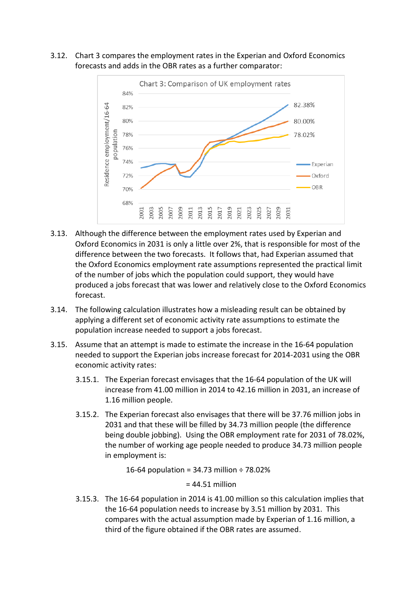3.12. Chart 3 compares the employment rates in the Experian and Oxford Economics forecasts and adds in the OBR rates as a further comparator:



- 3.13. Although the difference between the employment rates used by Experian and Oxford Economics in 2031 is only a little over 2%, that is responsible for most of the difference between the two forecasts. It follows that, had Experian assumed that the Oxford Economics employment rate assumptions represented the practical limit of the number of jobs which the population could support, they would have produced a jobs forecast that was lower and relatively close to the Oxford Economics forecast.
- 3.14. The following calculation illustrates how a misleading result can be obtained by applying a different set of economic activity rate assumptions to estimate the population increase needed to support a jobs forecast.
- 3.15. Assume that an attempt is made to estimate the increase in the 16-64 population needed to support the Experian jobs increase forecast for 2014-2031 using the OBR economic activity rates:
	- 3.15.1. The Experian forecast envisages that the 16-64 population of the UK will increase from 41.00 million in 2014 to 42.16 million in 2031, an increase of 1.16 million people.
	- 3.15.2. The Experian forecast also envisages that there will be 37.76 million jobs in 2031 and that these will be filled by 34.73 million people (the difference being double jobbing). Using the OBR employment rate for 2031 of 78.02%, the number of working age people needed to produce 34.73 million people in employment is:

16-64 population =  $34.73$  million  $\div$  78.02%

 $= 44.51$  million

3.15.3. The 16-64 population in 2014 is 41.00 million so this calculation implies that the 16-64 population needs to increase by 3.51 million by 2031. This compares with the actual assumption made by Experian of 1.16 million, a third of the figure obtained if the OBR rates are assumed.